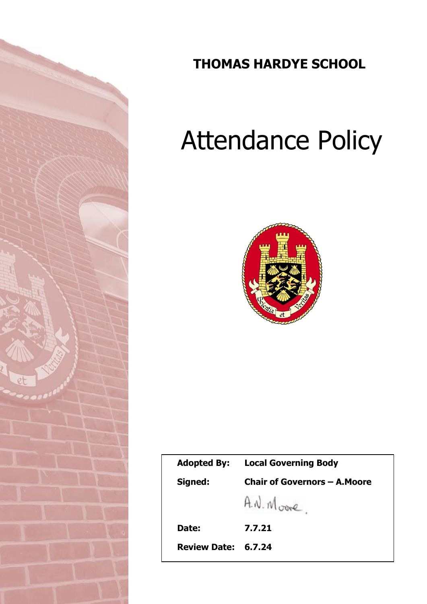

# **THOMAS HARDYE SCHOOL**

# Attendance Policy



| <b>Adopted By:</b>  | <b>Local Governing Body</b>          |  |
|---------------------|--------------------------------------|--|
| Signed:             | <b>Chair of Governors - A. Moore</b> |  |
|                     | A.N. Moore                           |  |
| Date:               | 7.7.21                               |  |
| Review Date: 6.7.24 |                                      |  |
|                     |                                      |  |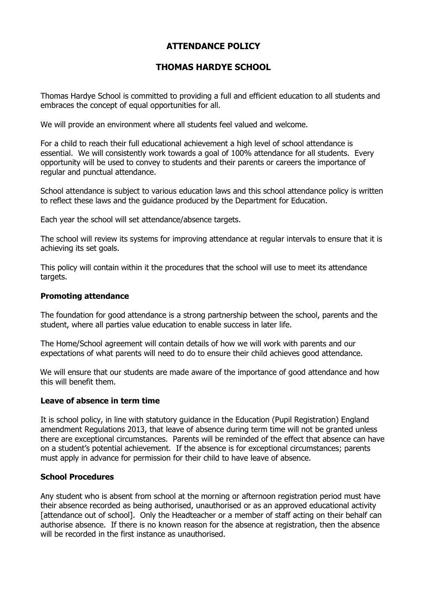# **ATTENDANCE POLICY**

# **THOMAS HARDYE SCHOOL**

Thomas Hardye School is committed to providing a full and efficient education to all students and embraces the concept of equal opportunities for all.

We will provide an environment where all students feel valued and welcome.

For a child to reach their full educational achievement a high level of school attendance is essential. We will consistently work towards a goal of 100% attendance for all students. Every opportunity will be used to convey to students and their parents or careers the importance of regular and punctual attendance.

School attendance is subject to various education laws and this school attendance policy is written to reflect these laws and the guidance produced by the Department for Education.

Each year the school will set attendance/absence targets.

The school will review its systems for improving attendance at regular intervals to ensure that it is achieving its set goals.

This policy will contain within it the procedures that the school will use to meet its attendance targets.

#### **Promoting attendance**

The foundation for good attendance is a strong partnership between the school, parents and the student, where all parties value education to enable success in later life.

The Home/School agreement will contain details of how we will work with parents and our expectations of what parents will need to do to ensure their child achieves good attendance.

We will ensure that our students are made aware of the importance of good attendance and how this will benefit them.

#### **Leave of absence in term time**

It is school policy, in line with statutory guidance in the Education (Pupil Registration) England amendment Regulations 2013, that leave of absence during term time will not be granted unless there are exceptional circumstances. Parents will be reminded of the effect that absence can have on a student's potential achievement. If the absence is for exceptional circumstances; parents must apply in advance for permission for their child to have leave of absence.

#### **School Procedures**

Any student who is absent from school at the morning or afternoon registration period must have their absence recorded as being authorised, unauthorised or as an approved educational activity [attendance out of school]. Only the Headteacher or a member of staff acting on their behalf can authorise absence. If there is no known reason for the absence at registration, then the absence will be recorded in the first instance as unauthorised.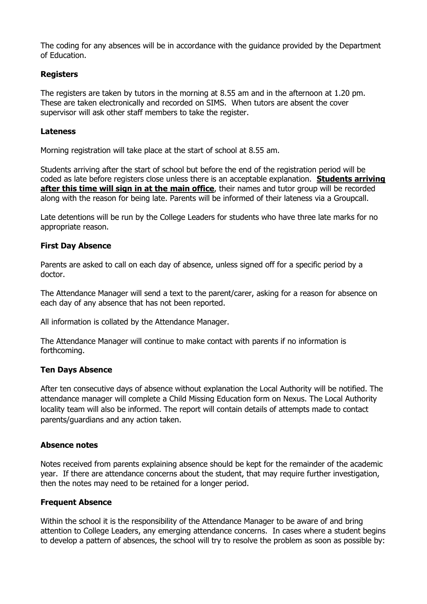The coding for any absences will be in accordance with the guidance provided by the Department of Education.

#### **Registers**

The registers are taken by tutors in the morning at 8.55 am and in the afternoon at 1.20 pm. These are taken electronically and recorded on SIMS. When tutors are absent the cover supervisor will ask other staff members to take the register.

#### **Lateness**

Morning registration will take place at the start of school at 8.55 am.

Students arriving after the start of school but before the end of the registration period will be coded as late before registers close unless there is an acceptable explanation. **Students arriving after this time will sign in at the main office**, their names and tutor group will be recorded along with the reason for being late. Parents will be informed of their lateness via a Groupcall.

Late detentions will be run by the College Leaders for students who have three late marks for no appropriate reason.

#### **First Day Absence**

Parents are asked to call on each day of absence, unless signed off for a specific period by a doctor.

The Attendance Manager will send a text to the parent/carer, asking for a reason for absence on each day of any absence that has not been reported.

All information is collated by the Attendance Manager.

The Attendance Manager will continue to make contact with parents if no information is forthcoming.

#### **Ten Days Absence**

After ten consecutive days of absence without explanation the Local Authority will be notified. The attendance manager will complete a Child Missing Education form on Nexus. The Local Authority locality team will also be informed. The report will contain details of attempts made to contact parents/guardians and any action taken.

#### **Absence notes**

Notes received from parents explaining absence should be kept for the remainder of the academic year. If there are attendance concerns about the student, that may require further investigation, then the notes may need to be retained for a longer period.

#### **Frequent Absence**

Within the school it is the responsibility of the Attendance Manager to be aware of and bring attention to College Leaders, any emerging attendance concerns. In cases where a student begins to develop a pattern of absences, the school will try to resolve the problem as soon as possible by: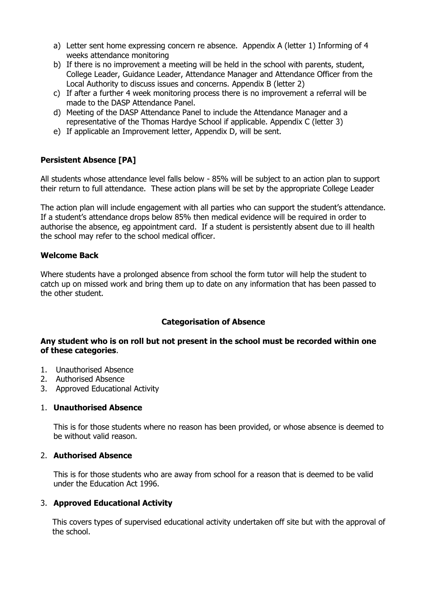- a) Letter sent home expressing concern re absence. Appendix A (letter 1) Informing of 4 weeks attendance monitoring
- b) If there is no improvement a meeting will be held in the school with parents, student, College Leader, Guidance Leader, Attendance Manager and Attendance Officer from the Local Authority to discuss issues and concerns. Appendix B (letter 2)
- c) If after a further 4 week monitoring process there is no improvement a referral will be made to the DASP Attendance Panel.
- d) Meeting of the DASP Attendance Panel to include the Attendance Manager and a representative of the Thomas Hardye School if applicable. Appendix C (letter 3)
- e) If applicable an Improvement letter, Appendix D, will be sent.

## **Persistent Absence [PA]**

All students whose attendance level falls below - 85% will be subject to an action plan to support their return to full attendance. These action plans will be set by the appropriate College Leader

The action plan will include engagement with all parties who can support the student's attendance. If a student's attendance drops below 85% then medical evidence will be required in order to authorise the absence, eg appointment card. If a student is persistently absent due to ill health the school may refer to the school medical officer.

#### **Welcome Back**

Where students have a prolonged absence from school the form tutor will help the student to catch up on missed work and bring them up to date on any information that has been passed to the other student.

#### **Categorisation of Absence**

#### **Any student who is on roll but not present in the school must be recorded within one of these categories**.

- 1. Unauthorised Absence
- 2. Authorised Absence
- 3. Approved Educational Activity

#### 1. **Unauthorised Absence**

This is for those students where no reason has been provided, or whose absence is deemed to be without valid reason.

#### 2. **Authorised Absence**

This is for those students who are away from school for a reason that is deemed to be valid under the Education Act 1996.

#### 3. **Approved Educational Activity**

This covers types of supervised educational activity undertaken off site but with the approval of the school.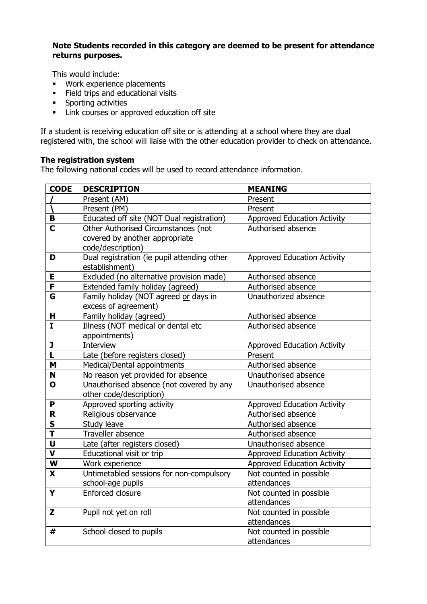#### **Note Students recorded in this category are deemed to be present for attendance returns purposes.**

This would include:

- Work experience placements
- Field trips and educational visits
- **•** Sporting activities
- Link courses or approved education off site

If a student is receiving education off site or is attending at a school where they are dual registered with, the school will liaise with the other education provider to check on attendance.

#### **The registration system**

The following national codes will be used to record attendance information.

| <b>CODE</b>  | <b>DESCRIPTION</b>                          | <b>MEANING</b>                     |
|--------------|---------------------------------------------|------------------------------------|
|              | Present (AM)                                | Present                            |
|              | Present (PM)                                | Present                            |
| B            | Educated off site (NOT Dual registration)   | <b>Approved Education Activity</b> |
| C            | Other Authorised Circumstances (not         | Authorised absence                 |
|              | covered by another appropriate              |                                    |
|              | code/description)                           |                                    |
| D            | Dual registration (ie pupil attending other | <b>Approved Education Activity</b> |
|              | establishment)                              |                                    |
| E            | Excluded (no alternative provision made)    | Authorised absence                 |
| F            | Extended family holiday (agreed)            | Authorised absence                 |
| G            | Family holiday (NOT agreed or days in       | Unauthorized absence               |
|              | excess of agreement)                        |                                    |
| н            | Family holiday (agreed)                     | Authorised absence                 |
| $\mathbf{I}$ | Illness (NOT medical or dental etc          | Authorised absence                 |
|              | appointments)                               |                                    |
| J            | Interview                                   | <b>Approved Education Activity</b> |
| L            | Late (before registers closed)              | Present                            |
| M            | Medical/Dental appointments                 | Authorised absence                 |
| N            | No reason yet provided for absence          | Unauthorised absence               |
| O            | Unauthorised absence (not covered by any    | Unauthorised absence               |
|              | other code/description)                     |                                    |
| P            | Approved sporting activity                  | <b>Approved Education Activity</b> |
| R            | Religious observance                        | Authorised absence                 |
| S            | Study leave                                 | Authorised absence                 |
| T            | Traveller absence                           | Authorised absence                 |
| U            | Late (after registers closed)               | Unauthorised absence               |
| V            | Educational visit or trip                   | <b>Approved Education Activity</b> |
| W            | Work experience                             | <b>Approved Education Activity</b> |
| X            | Untimetabled sessions for non-compulsory    | Not counted in possible            |
|              | school-age pupils                           | attendances                        |
| Y            | Enforced closure                            | Not counted in possible            |
|              |                                             | attendances                        |
| Z            | Pupil not yet on roll                       | Not counted in possible            |
|              |                                             | attendances                        |
| #            | School closed to pupils                     | Not counted in possible            |
|              |                                             | attendances                        |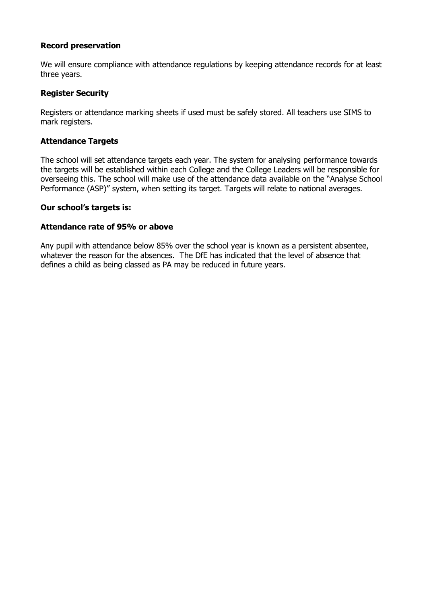#### **Record preservation**

We will ensure compliance with attendance regulations by keeping attendance records for at least three years.

#### **Register Security**

Registers or attendance marking sheets if used must be safely stored. All teachers use SIMS to mark registers.

#### **Attendance Targets**

The school will set attendance targets each year. The system for analysing performance towards the targets will be established within each College and the College Leaders will be responsible for overseeing this. The school will make use of the attendance data available on the "Analyse School Performance (ASP)" system, when setting its target. Targets will relate to national averages.

#### **Our school's targets is:**

#### **Attendance rate of 95% or above**

Any pupil with attendance below 85% over the school year is known as a persistent absentee, whatever the reason for the absences. The DfE has indicated that the level of absence that defines a child as being classed as PA may be reduced in future years.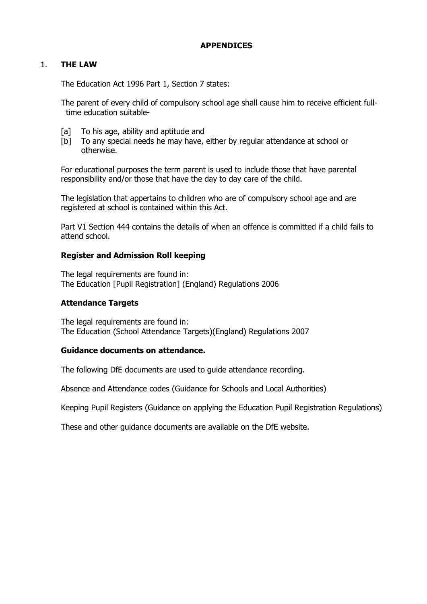#### **APPENDICES**

#### 1. **THE LAW**

The Education Act 1996 Part 1, Section 7 states:

The parent of every child of compulsory school age shall cause him to receive efficient fulltime education suitable-

- [a] To his age, ability and aptitude and
- [b] To any special needs he may have, either by regular attendance at school or otherwise.

For educational purposes the term parent is used to include those that have parental responsibility and/or those that have the day to day care of the child.

The legislation that appertains to children who are of compulsory school age and are registered at school is contained within this Act.

Part V1 Section 444 contains the details of when an offence is committed if a child fails to attend school.

#### **Register and Admission Roll keeping**

The legal requirements are found in: The Education [Pupil Registration] (England) Regulations 2006

#### **Attendance Targets**

The legal requirements are found in: The Education (School Attendance Targets)(England) Regulations 2007

#### **Guidance documents on attendance.**

The following DfE documents are used to guide attendance recording.

Absence and Attendance codes (Guidance for Schools and Local Authorities)

Keeping Pupil Registers (Guidance on applying the Education Pupil Registration Regulations)

These and other guidance documents are available on the DfE website.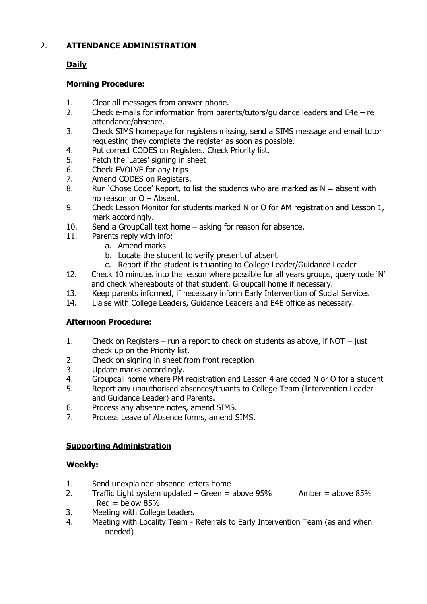# 2. **ATTENDANCE ADMINISTRATION**

# **Daily**

## **Morning Procedure:**

- 1. Clear all messages from answer phone.
- 2. Check e-mails for information from parents/tutors/guidance leaders and E4e re attendance/absence.
- 3. Check SIMS homepage for registers missing, send a SIMS message and email tutor requesting they complete the register as soon as possible.
- 4. Put correct CODES on Registers. Check Priority list.
- 5. Fetch the 'Lates' signing in sheet
- 6. Check EVOLVE for any trips
- 7. Amend CODES on Registers.
- 8. Run 'Chose Code' Report, to list the students who are marked as  $N =$  absent with no reason or O – Absent.
- 9. Check Lesson Monitor for students marked N or O for AM registration and Lesson 1, mark accordingly.
- 10. Send a GroupCall text home asking for reason for absence.
- 11. Parents reply with info:
	- a. Amend marks
	- b. Locate the student to verify present of absent
	- c. Report if the student is truanting to College Leader/Guidance Leader
- 12. Check 10 minutes into the lesson where possible for all years groups, query code 'N' and check whereabouts of that student. Groupcall home if necessary.
- 13. Keep parents informed, if necessary inform Early Intervention of Social Services
- 14. Liaise with College Leaders, Guidance Leaders and E4E office as necessary.

# **Afternoon Procedure:**

- 1. Check on Registers run a report to check on students as above, if NOT just check up on the Priority list.
- 2. Check on signing in sheet from front reception
- 3. Update marks accordingly.
- 4. Groupcall home where PM registration and Lesson 4 are coded N or O for a student
- 5. Report any unauthorised absences/truants to College Team (Intervention Leader and Guidance Leader) and Parents.
- 6. Process any absence notes, amend SIMS.
- 7. Process Leave of Absence forms, amend SIMS.

# **Supporting Administration**

#### **Weekly:**

- 1. Send unexplained absence letters home
- 2. Traffic Light system updated Green = above  $95\%$  Amber = above  $85\%$  $Red = below 85%$
- 3. Meeting with College Leaders
- 4. Meeting with Locality Team Referrals to Early Intervention Team (as and when needed)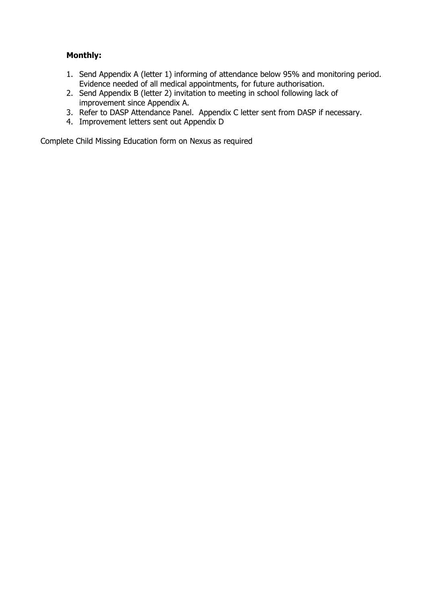# **Monthly:**

- 1. Send Appendix A (letter 1) informing of attendance below 95% and monitoring period. Evidence needed of all medical appointments, for future authorisation.
- 2. Send Appendix B (letter 2) invitation to meeting in school following lack of improvement since Appendix A.
- 3. Refer to DASP Attendance Panel. Appendix C letter sent from DASP if necessary.
- 4. Improvement letters sent out Appendix D

Complete Child Missing Education form on Nexus as required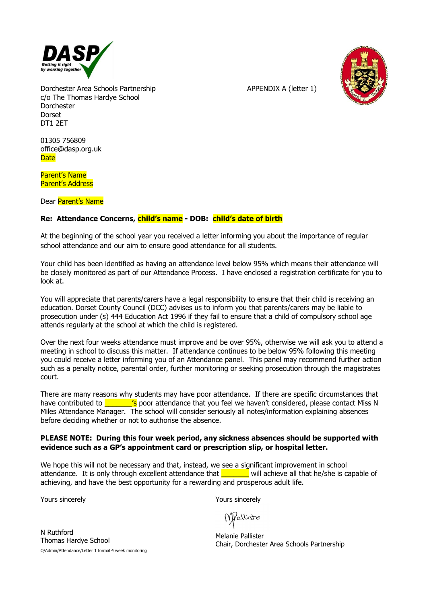

Dorchester Area Schools Partnership APPENDIX A (letter 1) c/o The Thomas Hardye School Dorchester Dorset DT1 2ET

01305 756809 office@dasp.org.uk **Date** 

Parent's Name Parent's Address

Dear Parent's Name

#### **Re: Attendance Concerns, child's name - DOB: child's date of birth**

At the beginning of the school year you received a letter informing you about the importance of regular school attendance and our aim to ensure good attendance for all students.

Your child has been identified as having an attendance level below 95% which means their attendance will be closely monitored as part of our Attendance Process. I have enclosed a registration certificate for you to look at.

You will appreciate that parents/carers have a legal responsibility to ensure that their child is receiving an education. Dorset County Council (DCC) advises us to inform you that parents/carers may be liable to prosecution under (s) 444 Education Act 1996 if they fail to ensure that a child of compulsory school age attends regularly at the school at which the child is registered.

Over the next four weeks attendance must improve and be over 95%, otherwise we will ask you to attend a meeting in school to discuss this matter. If attendance continues to be below 95% following this meeting you could receive a letter informing you of an Attendance panel. This panel may recommend further action such as a penalty notice, parental order, further monitoring or seeking prosecution through the magistrates court.

There are many reasons why students may have poor attendance. If there are specific circumstances that have contributed to **zinch in the set of the step of that** you feel we haven't considered, please contact Miss N Miles Attendance Manager. The school will consider seriously all notes/information explaining absences before deciding whether or not to authorise the absence.

#### **PLEASE NOTE: During this four week period, any sickness absences should be supported with evidence such as a GP's appointment card or prescription slip, or hospital letter.**

We hope this will not be necessary and that, instead, we see a significant improvement in school attendance. It is only through excellent attendance that  $\Box$  will achieve all that he/she is capable of achieving, and have the best opportunity for a rewarding and prosperous adult life.

Yours sincerely

Yours sincerely

Wellister

N Ruthford Thomas Hardye School O/Admin/Attendance/Letter 1 formal 4 week monitoring

Melanie Pallister Chair, Dorchester Area Schools Partnership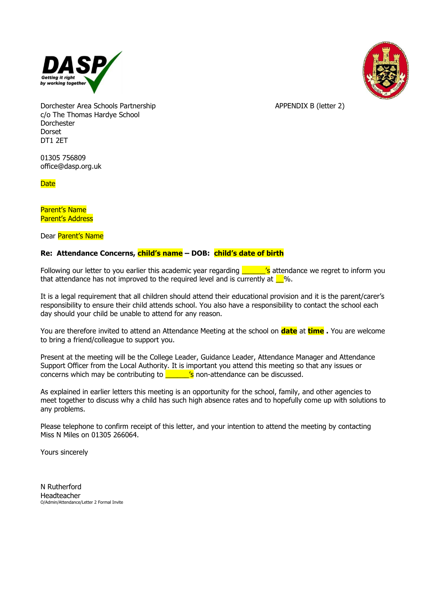



Dorchester Area Schools Partnership APPENDIX B (letter 2) c/o The Thomas Hardye School Dorchester Dorset DT1 2ET

01305 756809 office@dasp.org.uk

**Date** 

Parent's Name Parent's Address

Dear Parent's Name

#### **Re: Attendance Concerns, child's name – DOB: child's date of birth**

Following our letter to you earlier this academic year regarding  $\frac{\ }{\ }$   $\frac{\ }{\ }$  attendance we regret to inform you that attendance has not improved to the required level and is currently at  $\Box$ %.

It is a legal requirement that all children should attend their educational provision and it is the parent/carer's responsibility to ensure their child attends school. You also have a responsibility to contact the school each day should your child be unable to attend for any reason.

You are therefore invited to attend an Attendance Meeting at the school on **date** at **time .** You are welcome to bring a friend/colleague to support you.

Present at the meeting will be the College Leader, Guidance Leader, Attendance Manager and Attendance Support Officer from the Local Authority. It is important you attend this meeting so that any issues or concerns which may be contributing to  $\overline{\phantom{a}}$  's non-attendance can be discussed.

As explained in earlier letters this meeting is an opportunity for the school, family, and other agencies to meet together to discuss why a child has such high absence rates and to hopefully come up with solutions to any problems.

Please telephone to confirm receipt of this letter, and your intention to attend the meeting by contacting Miss N Miles on 01305 266064.

Yours sincerely

N Rutherford Headteacher O/Admin/Attendance/Letter 2 Formal Invite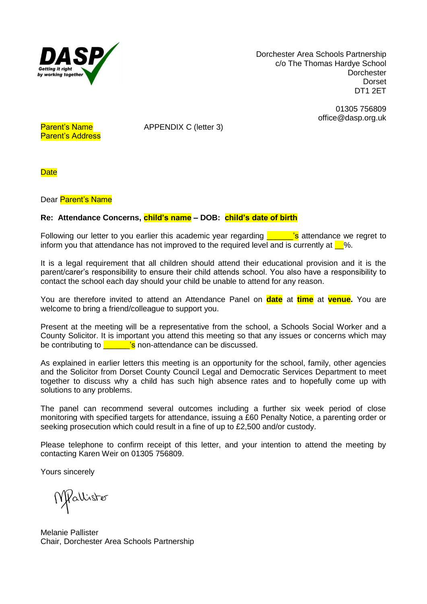

Dorchester Area Schools Partnership c/o The Thomas Hardye School **Dorchester** Dorset DT1 2ET

> 01305 756809 office@dasp.org.uk

Parent's Address

Parent's Name APPENDIX C (letter 3)

**Date** 

Dear Parent's Name

#### **Re: Attendance Concerns, child's name – DOB: child's date of birth**

Following our letter to you earlier this academic year regarding  $\overline{\phantom{a}}$  is attendance we regret to inform you that attendance has not improved to the required level and is currently at  $\square$ %.

It is a legal requirement that all children should attend their educational provision and it is the parent/carer's responsibility to ensure their child attends school. You also have a responsibility to contact the school each day should your child be unable to attend for any reason.

You are therefore invited to attend an Attendance Panel on **date** at **time** at **venue.** You are welcome to bring a friend/colleague to support you.

Present at the meeting will be a representative from the school, a Schools Social Worker and a County Solicitor. It is important you attend this meeting so that any issues or concerns which may be contributing to  $\frac{1}{s}$  non-attendance can be discussed.

As explained in earlier letters this meeting is an opportunity for the school, family, other agencies and the Solicitor from Dorset County Council Legal and Democratic Services Department to meet together to discuss why a child has such high absence rates and to hopefully come up with solutions to any problems.

The panel can recommend several outcomes including a further six week period of close monitoring with specified targets for attendance, issuing a £60 Penalty Notice, a parenting order or seeking prosecution which could result in a fine of up to £2,500 and/or custody.

Please telephone to confirm receipt of this letter, and your intention to attend the meeting by contacting Karen Weir on 01305 756809.

Yours sincerely

Mollister

Melanie Pallister Chair, Dorchester Area Schools Partnership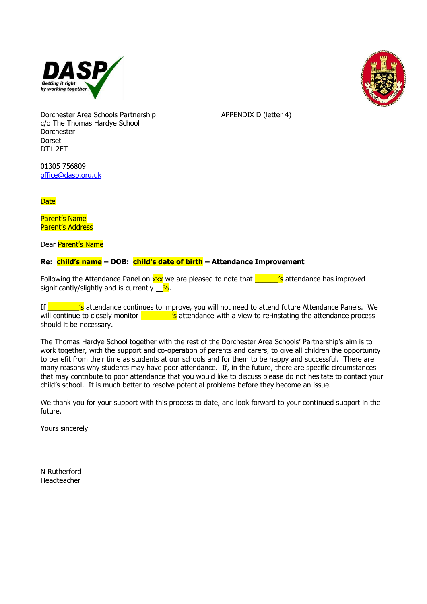



Dorchester Area Schools Partnership APPENDIX D (letter 4) c/o The Thomas Hardye School Dorchester Dorset DT1 2ET

01305 756809 [office@dasp.org.uk](mailto:office@dasp.org.uk)

**Date** 

Parent's Name Parent's Address

Dear Parent's Name

#### **Re: child's name – DOB: child's date of birth – Attendance Improvement**

Following the Attendance Panel on  $\frac{xx}{x}$  we are pleased to note that  $\frac{x}{x}$  is attendance has improved significantly/slightly and is currently  $\frac{9}{6}$ .

If \_\_\_\_\_\_\_\_\_\_'s attendance continues to improve, you will not need to attend future Attendance Panels. We will continue to closely monitor  $\frac{1}{s}$  attendance with a view to re-instating the attendance process should it be necessary.

The Thomas Hardye School together with the rest of the Dorchester Area Schools' Partnership's aim is to work together, with the support and co-operation of parents and carers, to give all children the opportunity to benefit from their time as students at our schools and for them to be happy and successful. There are many reasons why students may have poor attendance. If, in the future, there are specific circumstances that may contribute to poor attendance that you would like to discuss please do not hesitate to contact your child's school. It is much better to resolve potential problems before they become an issue.

We thank you for your support with this process to date, and look forward to your continued support in the future.

Yours sincerely

N Rutherford Headteacher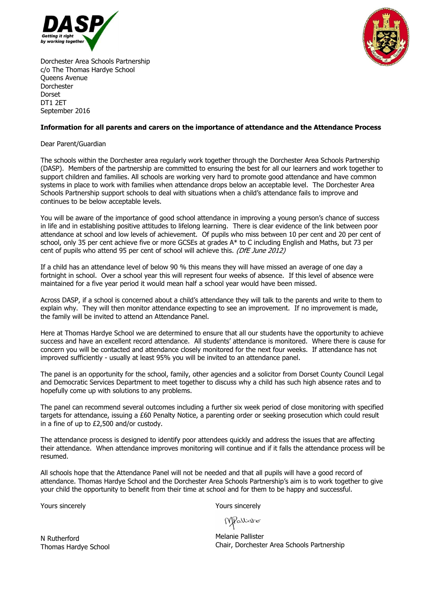



Dorchester Area Schools Partnership c/o The Thomas Hardye School Queens Avenue Dorchester Dorset DT1 2ET September 2016

#### **Information for all parents and carers on the importance of attendance and the Attendance Process**

Dear Parent/Guardian

The schools within the Dorchester area regularly work together through the Dorchester Area Schools Partnership (DASP). Members of the partnership are committed to ensuring the best for all our learners and work together to support children and families. All schools are working very hard to promote good attendance and have common systems in place to work with families when attendance drops below an acceptable level. The Dorchester Area Schools Partnership support schools to deal with situations when a child's attendance fails to improve and continues to be below acceptable levels.

You will be aware of the importance of good school attendance in improving a young person's chance of success in life and in establishing positive attitudes to lifelong learning. There is clear evidence of the link between poor attendance at school and low levels of achievement. Of pupils who miss between 10 per cent and 20 per cent of school, only 35 per cent achieve five or more GCSEs at grades A\* to C including English and Maths, but 73 per cent of pupils who attend 95 per cent of school will achieve this. (DfE June 2012)

If a child has an attendance level of below 90 % this means they will have missed an average of one day a fortnight in school. Over a school year this will represent four weeks of absence. If this level of absence were maintained for a five year period it would mean half a school year would have been missed.

Across DASP, if a school is concerned about a child's attendance they will talk to the parents and write to them to explain why. They will then monitor attendance expecting to see an improvement. If no improvement is made, the family will be invited to attend an Attendance Panel.

Here at Thomas Hardye School we are determined to ensure that all our students have the opportunity to achieve success and have an excellent record attendance. All students' attendance is monitored. Where there is cause for concern you will be contacted and attendance closely monitored for the next four weeks. If attendance has not improved sufficiently - usually at least 95% you will be invited to an attendance panel.

The panel is an opportunity for the school, family, other agencies and a solicitor from Dorset County Council Legal and Democratic Services Department to meet together to discuss why a child has such high absence rates and to hopefully come up with solutions to any problems.

The panel can recommend several outcomes including a further six week period of close monitoring with specified targets for attendance, issuing a £60 Penalty Notice, a parenting order or seeking prosecution which could result in a fine of up to £2,500 and/or custody.

The attendance process is designed to identify poor attendees quickly and address the issues that are affecting their attendance. When attendance improves monitoring will continue and if it falls the attendance process will be resumed.

All schools hope that the Attendance Panel will not be needed and that all pupils will have a good record of attendance. Thomas Hardye School and the Dorchester Area Schools Partnership's aim is to work together to give your child the opportunity to benefit from their time at school and for them to be happy and successful.

Yours sincerely

Yours sincerely

MPallister

Melanie Pallister Chair, Dorchester Area Schools Partnership

N Rutherford Thomas Hardye School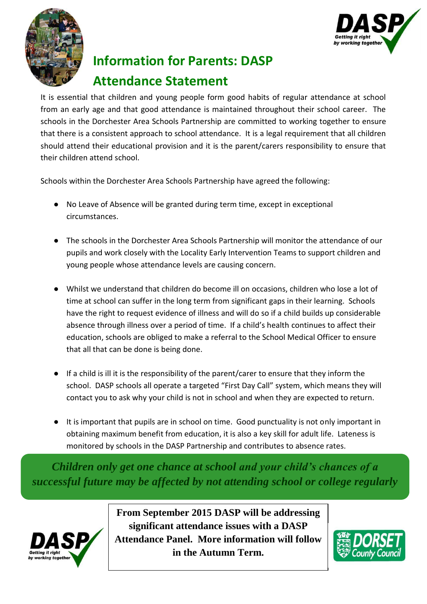



# **Information for Parents: DASP Attendance Statement**

It is essential that children and young people form good habits of regular attendance at school from an early age and that good attendance is maintained throughout their school career. The schools in the Dorchester Area Schools Partnership are committed to working together to ensure that there is a consistent approach to school attendance. It is a legal requirement that all children should attend their educational provision and it is the parent/carers responsibility to ensure that their children attend school.

Schools within the Dorchester Area Schools Partnership have agreed the following:

- No Leave of Absence will be granted during term time, except in exceptional circumstances.
- The schools in the Dorchester Area Schools Partnership will monitor the attendance of our pupils and work closely with the Locality Early Intervention Teams to support children and young people whose attendance levels are causing concern.
- Whilst we understand that children do become ill on occasions, children who lose a lot of time at school can suffer in the long term from significant gaps in their learning. Schools have the right to request evidence of illness and will do so if a child builds up considerable absence through illness over a period of time. If a child's health continues to affect their education, schools are obliged to make a referral to the School Medical Officer to ensure that all that can be done is being done.
- If a child is ill it is the responsibility of the parent/carer to ensure that they inform the school. DASP schools all operate a targeted "First Day Call" system, which means they will contact you to ask why your child is not in school and when they are expected to return.
- It is important that pupils are in school on time. Good punctuality is not only important in obtaining maximum benefit from education, it is also a key skill for adult life. Lateness is monitored by schools in the DASP Partnership and contributes to absence rates.

*Children only get one chance at school and your child's chances of a successful future may be affected by not attending school or college regularly*



**From September 2015 DASP will be addressing significant attendance issues with a DASP Attendance Panel. More information will follow in the Autumn Term.**